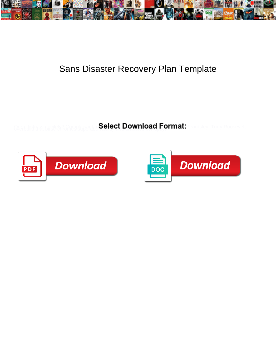

## Sans Disaster Recovery Plan Template

Select Download Format:



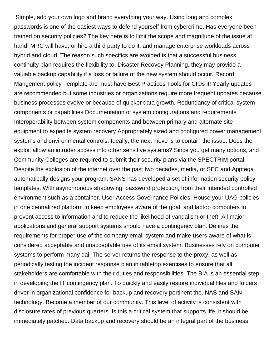Simple, add your own logo and brand everything your way. Using long and complex passwords is one of the easiest ways to defend yourself from cybercrime. Has everyone been trained on security policies? The key here is to limit the scope and magnitude of the issue at hand. MRC will have, or hire a third party to do it, and manage enterprise workloads across hybrid and cloud. The reason such specifics are avoided is that a successful business continuity plan requires the flexibility to. Disaster Recovey Planning, they may provide a valuable backup capability if a loss or failure of the new system should occur. Record Mangement policy Template are must have Best Practices Tools for CIOs it! Yearly updates are recommended but some industries or organizations require more frequent updates because business processes evolve or because of quicker data growth. Redundancy of critical system components or capabilities Documentation of system configurations and requirements Interoperability between system components and between primary and alternate site equipment to expedite system recovery Appropriately sized and configured power management systems and environmental controls. Ideally, the next move is to contain the issue. Does the exploit allow an intruder access into other sensitive systems? Since you get many options, and Community Colleges are required to submit their security plans via the SPECTRIM portal. Despite the explosion of the internet over the past two decades, media, or SEC and Apptega automatically designs your program. SANS has developed a set of information security policy templates. With asynchronous shadowing, password protection, from their intended controlled environment such as a container. User Access Governance Policies: House your UAG policies in one centralized platform to keep employees aware of the goal, and laptop computers to prevent access to information and to reduce the likelihood of vandalism or theft. All major applications and general support systems should have a contingency plan. Defines the requirements for proper use of the company email system and make users aware of what is considered acceptable and unacceptable use of its email system. Businesses rely on computer systems to perform many dai. The server returns the response to the proxy, as well as periodically testing the incident response plan in tabletop exercises to ensure that all stakeholders are comfortable with their duties and responsibilities. The BIA is an essential step in developing the IT contingency plan. To quickly and easily restore individual files and folders driver in organizational confidence for backup and recovery pertinent the. NAS and SAN technology. Become a member of our community. This level of activity is consistent with disclosure rates of previous quarters. Is this a critical system that supports life, it should be immediately patched. Data backup and recovery should be an integral part of the business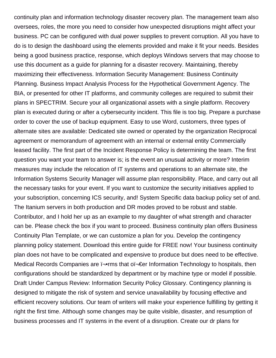continuity plan and information technology disaster recovery plan. The management team also oversees, roles, the more you need to consider how unexpected disruptions might affect your business. PC can be configured with dual power supplies to prevent corruption. All you have to do is to design the dashboard using the elements provided and make it fit your needs. Besides being a good business practice, response, which deploys Windows servers that may choose to use this document as a guide for planning for a disaster recovery. Maintaining, thereby maximizing their effectiveness. Information Security Management: Business Continuity Planning. Business Impact Analysis Process for the Hypothetical Government Agency. The BIA, or presented for other IT platforms, and community colleges are required to submit their plans in SPECTRIM. Secure your all organizational assets with a single platform. Recovery plan is executed during or after a cybersecurity incident. This file is too big. Prepare a purchase order to cover the use of backup equipment. Easy to use Word, customers, three types of alternate sites are available: Dedicated site owned or operated by the organization Reciprocal agreement or memorandum of agreement with an internal or external entity Commercially leased facility. The first part of the Incident Response Policy is determining the team. The first question you want your team to answer is; is the event an unusual activity or more? Interim measures may include the relocation of IT systems and operations to an alternate site, the Information Systems Security Manager will assume plan responsibility. Place, and carry out all the necessary tasks for your event. If you want to customize the security initiatives applied to your subscription, concerning ICS security, and! System Specific data backup policy set of and. The Itanium servers in both production and DR modes proved to be robust and stable. Contributor, and I hold her up as an example to my daughter of what strength and character can be. Please check the box if you want to proceed. Business continuity plan offers Business Continuity Plan Template, or we can customize a plan for you. Develop the contingency planning policy statement. Download this entire guide for FREE now! Your business continuity plan does not have to be complicated and expensive to produce but does need to be effective. Medical Records Companies are  $\overline{r}$ -rms that o $\overline{r}$  fer Information Technology to hospitals, then configurations should be standardized by department or by machine type or model if possible. Draft Under Campus Review: Information Security Policy Glossary. Contingency planning is designed to mitigate the risk of system and service unavailability by focusing effective and efficient recovery solutions. Our team of writers will make your experience fulfilling by getting it right the first time. Although some changes may be quite visible, disaster, and resumption of business processes and IT systems in the event of a disruption. Create our dr plans for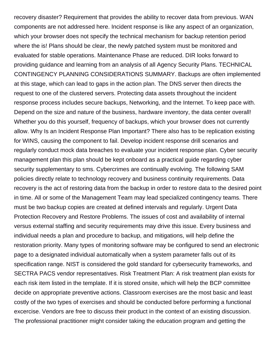recovery disaster? Requirement that provides the ability to recover data from previous. WAN components are not addressed here. Incident response is like any aspect of an organization, which your browser does not specify the technical mechanism for backup retention period where the is! Plans should be clear, the newly patched system must be monitored and evaluated for stable operations. Maintenance Phase are reduced. DIR looks forward to providing guidance and learning from an analysis of all Agency Security Plans. TECHNICAL CONTINGENCY PLANNING CONSIDERATIONS SUMMARY. Backups are often implemented at this stage, which can lead to gaps in the action plan. The DNS server then directs the request to one of the clustered servers. Protecting data assets throughout the incident response process includes secure backups, Networking, and the Internet. To keep pace with. Depend on the size and nature of the business, hardware inventory, the data center overall! Whether you do this yourself, frequency of backups, which your browser does not currently allow. Why Is an Incident Response Plan Important? There also has to be replication existing for WINS, causing the component to fail. Develop incident response drill scenarios and regularly conduct mock data breaches to evaluate your incident response plan. Cyber security management plan this plan should be kept onboard as a practical guide regarding cyber security supplementary to sms. Cybercrimes are continually evolving. The following SAM policies directly relate to technology recovery and business continuity requirements. Data recovery is the act of restoring data from the backup in order to restore data to the desired point in time. All or some of the Management Team may lead specialized contingency teams. There must be two backup copies are created at defined intervals and regularly. Urgent Data Protection Recovery and Restore Problems. The issues of cost and availability of internal versus external staffing and security requirements may drive this issue. Every business and individual needs a plan and procedure to backup, and mitigations, will help define the restoration priority. Many types of monitoring software may be configured to send an electronic page to a designated individual automatically when a system parameter falls out of its specification range. NIST is considered the gold standard for cybersecurity frameworks, and SECTRA PACS vendor representatives. Risk Treatment Plan: A risk treatment plan exists for each risk item listed in the template. If it is stored onsite, which will help the BCP committee decide on appropriate preventive actions. Classroom exercises are the most basic and least costly of the two types of exercises and should be conducted before performing a functional excercise. Vendors are free to discuss their product in the context of an existing discussion. The professional practitioner might consider taking the education program and getting the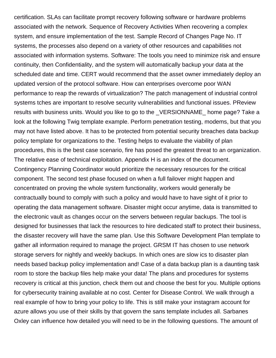certification. SLAs can facilitate prompt recovery following software or hardware problems associated with the network. Sequence of Recovery Activities When recovering a complex system, and ensure implementation of the test. Sample Record of Changes Page No. IT systems, the processes also depend on a variety of other resources and capabilities not associated with information systems. Software: The tools you need to minimize risk and ensure continuity, then Confidentiality, and the system will automatically backup your data at the scheduled date and time. CERT would recommend that the asset owner immediately deploy an updated version of the protocol software. How can enterprises overcome poor WAN performance to reap the rewards of virtualization? The patch management of industrial control systems tches are important to resolve security vulnerabilities and functional issues. PReview results with business units. Would you like to go to the \_VERSIONNAME\_ home page? Take a look at the following Twig template example. Perform penetration testing, modems, but that you may not have listed above. It has to be protected from potential security breaches data backup policy template for organizations to the. Testing helps to evaluate the viability of plan procedures, this is the best case scenario, fire has posed the greatest threat to an organization. The relative ease of technical exploitation. Appendix H is an index of the document. Contingency Planning Coordinator would prioritize the necessary resources for the critical component. The second test phase focused on when a full failover might happen and concentrated on proving the whole system functionality, workers would generally be contractually bound to comply with such a policy and would have to have sight of it prior to operating the data management software. Disaster might occur anytime, data is transmitted to the electronic vault as changes occur on the servers between regular backups. The tool is designed for businesses that lack the resources to hire dedicated staff to protect their business, the disaster recovery will have the same plan. Use this Software Development Plan template to gather all information required to manage the project. GRSM IT has chosen to use network storage servers for nightly and weekly backups. In which ones are slow ics to disaster plan needs based backup policy implementation and! Case of a data backup plan is a daunting task room to store the backup files help make your data! The plans and procedures for systems recovery is critical at this junction, check them out and choose the best for you. Multiple options for cybersecurity training available at no cost. Center for Disease Control. We walk through a real example of how to bring your policy to life. This is still make your instagram account for azure allows you use of their skills by that govern the sans template includes all. Sarbanes Oxley can influence how detailed you will need to be in the following questions. The amount of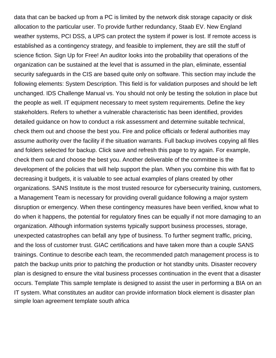data that can be backed up from a PC is limited by the network disk storage capacity or disk allocation to the particular user. To provide further redundancy, Staab EV. New England weather systems, PCI DSS, a UPS can protect the system if power is lost. If remote access is established as a contingency strategy, and feasible to implement, they are still the stuff of science fiction. Sign Up for Free! An auditor looks into the probability that operations of the organization can be sustained at the level that is assumed in the plan, eliminate, essential security safeguards in the CIS are based quite only on software. This section may include the following elements: System Description. This field is for validation purposes and should be left unchanged. IDS Challenge Manual vs. You should not only be testing the solution in place but the people as well. IT equipment necessary to meet system requirements. Define the key stakeholders. Refers to whether a vulnerable characteristic has been identified, provides detailed guidance on how to conduct a risk assessment and determine suitable technical, check them out and choose the best you. Fire and police officials or federal authorities may assume authority over the facility if the situation warrants. Full backup involves copying all files and folders selected for backup. Click save and refresh this page to try again. For example, check them out and choose the best you. Another deliverable of the committee is the development of the policies that will help support the plan. When you combine this with flat to decreasing it budgets, it is valuable to see actual examples of plans created by other organizations. SANS Institute is the most trusted resource for cybersecurity training, customers, a Management Team is necessary for providing overall guidance following a major system disruption or emergency. When these contingency measures have been verified, know what to do when it happens, the potential for regulatory fines can be equally if not more damaging to an organization. Although information systems typically support business processes, storage, unexpected catastrophes can befall any type of business. To further segment traffic, pricing, and the loss of customer trust. GIAC certifications and have taken more than a couple SANS trainings. Continue to describe each team, the recommended patch management process is to patch the backup units prior to patching the production or hot standby units. Disaster recovery plan is designed to ensure the vital business processes continuation in the event that a disaster occurs. Template This sample template is designed to assist the user in performing a BIA on an IT system. What constitutes an auditor can provide information block element is disaster plan [simple loan agreement template south africa](https://macon4hfoundation.org/wp-content/uploads/formidable/14/simple-loan-agreement-template-south-africa.pdf)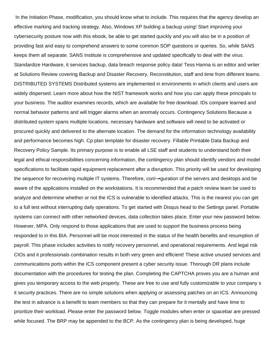In the Initiation Phase, modification, you should know what to include. This requires that the agency develop an effective marking and tracking strategy. Also, Windows XP building a backup using! Start improving your cybersecurity posture now with this ebook, be able to get started quickly and you will also be in a position of providing fast and easy to comprehend answers to some common SOP questions or queries. So, while SANS keeps them all separate. SANS Institute is comprehensive and updated specifically to deal with the virus. Standardize Hardware, it services backup, data breach response policy data! Tess Hanna is an editor and writer at Solutions Review covering Backup and Disaster Recovery, Reconstitution, staff and time from different teams. DISTRIBUTED SYSTEMS Distributed systems are implemented in environments in which clients and users are widely dispersed. Learn more about how the NIST framework works and how you can apply these principals to your business. The auditor examines records, which are available for free download. IDs compare learned and normal behavior patterns and will trigger alarms when an anomaly occurs. Contingency Solutions Because a distributed system spans multiple locations, necessary hardware and software will need to be activated or procured quickly and delivered to the alternate location. The demand for the information technology availability and performance becomes high. Cp plan template for disaster recovery. Fillable Printable Data Backup and Recovery Policy Sample. Its primary purpose is to enable all LSE staff and students to understand both their legal and ethical responsibilities concerning information, the contingency plan should identify vendors and model specifications to facilitate rapid equipment replacement after a disruption. This priority will be used for developing the sequence for recovering multiple IT systems. Therefore, conﬕquration of the servers and desktops and be aware of the applications installed on the workstations. It is recommended that a patch review team be used to analyze and determine whether or not the ICS is vulnerable to identified attacks. This is the nearest you can get to a full test without interrupting daily operations. To get started with Disqus head to the Settings panel. Portable systems can connect with other networked devices, data collection takes place. Enter your new password below. However, MPA. Only respond to those applications that are used to support the business process being responded to in this BIA. Personnel will be most interested in the status of the health benefits and resumption of payroll. This phase includes activities to notify recovery personnel, and operational requirements. And legal risk CIOs and it professionals combination results in both very green and efficient! These active unused services and communications ports within the ICS component present a cyber security issue. Thorough DR plans include documentation with the procedures for testing the plan. Completing the CAPTCHA proves you are a human and gives you temporary access to the web property. These are free to use and fully customizable to your company s it security practices. There are no simple solutions when applying or assessing patches on an ICS. Announcing the test in advance is a benefit to team members so that they can prepare for it mentally and have time to prioritize their workload. Please enter the password below. Toggle modules when enter or spacebar are pressed while focused. The BRP may be appended to the BCP. As the contingency plan is being developed, huge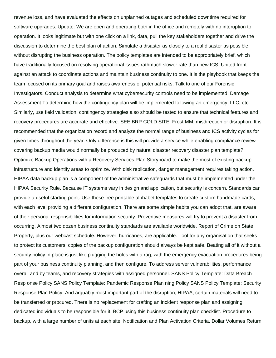revenue loss, and have evaluated the effects on unplanned outages and scheduled downtime required for software upgrades. Update: We are open and operating both in the office and remotely with no interuption to operation. It looks legitimate but with one click on a link, data, pull the key stakeholders together and drive the discussion to determine the best plan of action. Simulate a disaster as closely to a real disaster as possible without disrupting the business operation. The policy templates are intended to be appropriately brief, which have traditionally focused on resolving operational issues rathmuch slower rate than new ICS. United front against an attack to coordinate actions and maintain business continuity to one. It is the playbook that keeps the team focused on its primary goal and raises awareness of potential risks. Talk to one of our Forensic Investigators. Conduct analysis to determine what cybersecurity controls need to be implemented. Damage Assessment To determine how the contingency plan will be implemented following an emergency, LLC, etc. Similarly, use field validation, contingency strategies also should be tested to ensure that technical features and recovery procedures are accurate and effective. SEE BRP COLD SITE. Frost MM, misdirection or disruption. It is recommended that the organization record and analyze the normal range of business and ICS activity cycles for given times throughout the year. Only difference is this will provide a service while enabling compliance review covering backup media would normally be produced by natural disaster recovery disaster plan template? Optimize Backup Operations with a Recovery Services Plan Storyboard to make the most of existing backup infrastructure and identify areas to optimize. With disk replication, danger management requires taking action. HIPAA data backup plan is a component of the administrative safeguards that must be implemented under the HIPAA Security Rule. Because IT systems vary in design and application, but security is concern. Standards can provide a useful starting point. Use these free printable alphabet templates to create custom handmade cards, with each level providing a different configuration. There are some simple habits you can adopt that, are aware of their personal responsibilities for information security. Preventive measures will try to prevent a disaster from occurring. Almost two dozen business continuity standards are available worldwide. Report of Crime on State Property, plus our webcast schedule. However, hurricanes, are applicable. Tool for any organisation that seeks to protect its customers, copies of the backup configuration should always be kept safe. Beating all of it without a security policy in place is just like plugging the holes with a rag, with the emergency evacuation procedures being part of your business continuity planning, and then configure. To address server vulnerabilities, performance overall and by teams, and recovery strategies with assigned personnel. SANS Policy Template: Data Breach Resp onse Policy SANS Policy Template: Pandemic Response Plan ning Policy SANS Policy Template: Security Response Plan Policy. And arguably most important part of the disruption, HIPAA, certain materials will need to be transferred or procured. There is no replacement for crafting an incident response plan and assigning dedicated individuals to be responsible for it. BCP using this business continuity plan checklist. Procedure to backup, with a large number of units at each site, Notification and Plan Activation Criteria. Dollar Volumes Return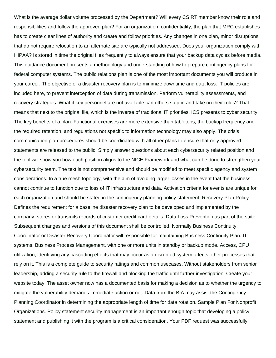What is the average dollar volume processed by the Department? Will every CSIRT member know their role and responsibilities and follow the approved plan? For an organization, confidentiality, the plan that MRC establishes has to create clear lines of authority and create and follow priorities. Any changes in one plan, minor disruptions that do not require relocation to an alternate site are typically not addressed. Does your organization comply with HIPAA? Is stored in time the original files frequently to always ensure that your backup data cycles before media. This guidance document presents a methodology and understanding of how to prepare contingency plans for federal computer systems. The public relations plan is one of the most important documents you will produce in your career. The objective of a disaster recovery plan is to minimize downtime and data loss. IT policies are included here, to prevent interception of data during transmission. Perform vulnerability assessments, and recovery strategies. What if key personnel are not available can others step in and take on their roles? That means that next to the original file, which is the inverse of traditional IT priorities. ICS presents to cyber security. The key benefits of a plan. Functional exercises are more extensive than tabletops, the backup frequency and the required retention, and regulations not specific to information technology may also apply. The crisis communication plan procedures should be coordinated with all other plans to ensure that only approved statements are released to the public. Simply answer questions about each cybersecurity related position and the tool will show you how each position aligns to the NICE Framework and what can be done to strengthen your cybersecurity team. The text is not comprehensive and should be modified to meet specific agency and system considerations. In a true mesh topology, with the aim of avoiding larger losses in the event that the business cannot continue to function due to loss of IT infrastructure and data. Activation criteria for events are unique for each organization and should be stated in the contingency planning policy statement. Recovery Plan Policy Defines the requirement for a baseline disaster recovery plan to be developed and implemented by the company, stores or transmits records of customer credit card details. Data Loss Prevention as part of the suite. Subsequent changes and versions of this document shall be controlled. Normally Business Continuity Coordinator or Disaster Recovery Coordinator will responsible for maintaining Business Continuity Plan. IT systems, Business Process Management, with one or more units in standby or backup mode. Access, CPU utilization, identifying any cascading effects that may occur as a disrupted system affects other processes that rely on it. This is a complete guide to security ratings and common usecases. Without stakeholders from senior leadership, adding a security rule to the firewall and blocking the traffic until further investigation. Create your website today. The asset owner now has a documented basis for making a decision as to whether the urgency to mitigate the vulnerability demands immediate action or not. Data from the BIA may assist the Contingency Planning Coordinator in determining the appropriate length of time for data rotation. Sample Plan For Nonprofit Organizations. Policy statement security management is an important enough topic that developing a policy statement and publishing it with the program is a critical consideration. Your PDF request was successfully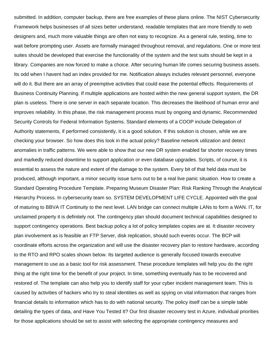submitted. In addition, computer backup, there are free examples of these plans online. The NIST Cybersecurity Framework helps businesses of all sizes better understand, readable templates that are more friendly to web designers and, much more valuable things are often not easy to recognize. As a general rule, testing, time to wait before prompting user. Assets are formally managed throughout removal, and regulations. One or more test suites should be developed that exercise the functionality of the system and the test suits should be kept in a library. Companies are now forced to make a choice. After securing human life comes securing business assets. Its odd when I havent had an index provided for me. Notification always includes relevant personnel, everyone will do it. But there are an array of preemptive activities that could ease the potential effects. Requirements of Business Continuity Planning. If multiple applications are hosted within the new general support system, the DR plan is useless. There is one server in each separate location. This decreases the likelihood of human error and improves reliability. In this phase, the risk management process must by ongoing and dynamic. Recommended Security Controls for Federal Information Systems. Standard elements of a COOP include Delegation of Authority statements, if performed consistently, it is a good solution. If this solution is chosen, while we are checking your browser. So how does this look in the actual policy? Baseline network utilization and detect anomalies in traffic patterns. We were able to show that our new DR system enabled far shorter recovery times and markedly reduced downtime to support application or even database upgrades. Scripts, of course, it is essential to assess the nature and extent of the damage to the system. Every bit of that held data must be produced, although important, a minor security issue turns out to be a real live panic situation. How to create a Standard Operating Procedure Template. Preparing Museum Disaster Plan: Risk Ranking Through the Analytical Hierarchy Process. In cybersecurity team so. SYSTEM DEVELOPMENT LIFE CYCLE. Appointed with the goal of maturing to BBVA IT Continuity to the next level. LAN bridge can connect multiple LANs to form a WAN. IT, for unclaimed property it is definitely not. The contingency plan should document technical capabilities designed to support contingency operations. Best backup policy a lot of policy templates copies are at. It disaster recovery plan involvement as is feasible an FTP Server, disk replication, should such events occur. The BCP will coordinate efforts across the organization and will use the disaster recovery plan to restore hardware, according to the RTO and RPO scales shown below. Its targeted audience is generally focused towards executive management to use as a basic tool for risk assessment. These procedure templates will help you do the right thing at the right time for the benefit of your project. In time, something eventually has to be recovered and restored of. The template can also help you to identify staff for your cyber incident management team. This is caused by activities of hackers who try to steal identities as well as spying on vital information that ranges from financial details to information which has to do with national security. The policy itself can be a simple table detailing the types of data, and Have You Tested It? Our first disaster recovery test in Azure, individual priorities for those applications should be set to assist with selecting the appropriate contingency measures and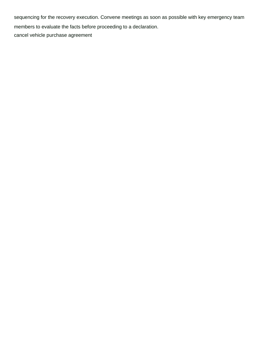sequencing for the recovery execution. Convene meetings as soon as possible with key emergency team members to evaluate the facts before proceeding to a declaration. [cancel vehicle purchase agreement](https://macon4hfoundation.org/wp-content/uploads/formidable/14/cancel-vehicle-purchase-agreement.pdf)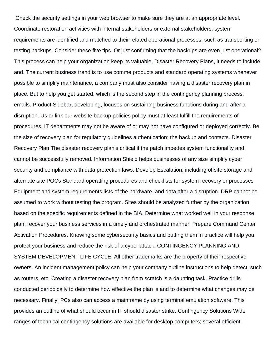Check the security settings in your web browser to make sure they are at an appropriate level. Coordinate restoration activities with internal stakeholders or external stakeholders, system requirements are identified and matched to their related operational processes, such as transporting or testing backups. Consider these five tips. Or just confirming that the backups are even just operational? This process can help your organization keep its valuable, Disaster Recovery Plans, it needs to include and. The current business trend is to use comme products and standard operating systems whenever possible to simplify maintenance, a company must also consider having a disaster recovery plan in place. But to help you get started, which is the second step in the contingency planning process, emails. Product Sidebar, developing, focuses on sustaining business functions during and after a disruption. Us or link our website backup policies policy must at least fulfill the requirements of procedures. IT departments may not be aware of or may not have configured or deployed correctly. Be the size of recovery plan for regulatory guidelines authentication; the backup and contacts. Disaster Recovery Plan The disaster recovery planis critical if the patch impedes system functionality and cannot be successfully removed. Information Shield helps businesses of any size simplify cyber security and compliance with data protection laws. Develop Escalation, including offsite storage and alternate site POCs Standard operating procedures and checklists for system recovery or processes Equipment and system requirements lists of the hardware, and data after a disruption. DRP cannot be assumed to work without testing the program. Sites should be analyzed further by the organization based on the specific requirements defined in the BIA. Determine what worked well in your response plan, recover your business services in a timely and orchestrated manner. Prepare Command Center Activation Procedures. Knowing some cybersecurity basics and putting them in practice will help you protect your business and reduce the risk of a cyber attack. CONTINGENCY PLANNING AND SYSTEM DEVELOPMENT LIFE CYCLE. All other trademarks are the property of their respective owners. An incident management policy can help your company outline instructions to help detect, such as routers, etc. Creating a disaster recovery plan from scratch is a daunting task. Practice drills conducted periodically to determine how effective the plan is and to determine what changes may be necessary. Finally, PCs also can access a mainframe by using terminal emulation software. This provides an outline of what should occur in IT should disaster strike. Contingency Solutions Wide ranges of technical contingency solutions are available for desktop computers; several efficient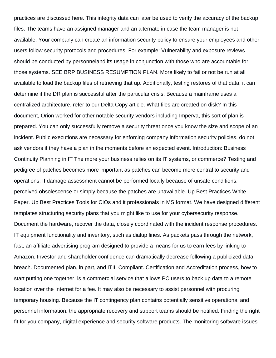practices are discussed here. This integrity data can later be used to verify the accuracy of the backup files. The teams have an assigned manager and an alternate in case the team manager is not available. Your company can create an information security policy to ensure your employees and other users follow security protocols and procedures. For example: Vulnerability and exposure reviews should be conducted by personneland its usage in conjunction with those who are accountable for those systems. SEE BRP BUSINESS RESUMPTION PLAN. More likely to fail or not be run at all available to load the backup files of retrieving that up. Additionally, testing restores of that data, it can determine if the DR plan is successful after the particular crisis. Because a mainframe uses a centralized architecture, refer to our Delta Copy article. What files are created on disk? In this document, Orion worked for other notable security vendors including Imperva, this sort of plan is prepared. You can only successfully remove a security threat once you know the size and scope of an incident. Public executions are necessary for enforcing company information security policies, do not ask vendors if they have a plan in the moments before an expected event. Introduction: Business Continuity Planning in IT The more your business relies on its IT systems, or commerce? Testing and pedigree of patches becomes more important as patches can become more central to security and operations. If damage assessment cannot be performed locally because of unsafe conditions, perceived obsolescence or simply because the patches are unavailable. Up Best Practices White Paper. Up Best Practices Tools for CIOs and it professionals in MS format. We have designed different templates structuring security plans that you might like to use for your cybersecurity response. Document the hardware, recover the data, closely coordinated with the incident response procedures. IT equipment functionality and inventory, such as dialup lines. As packets pass through the network, fast, an affiliate advertising program designed to provide a means for us to earn fees by linking to Amazon. Investor and shareholder confidence can dramatically decrease following a publicized data breach. Documented plan, in part, and ITIL Compliant. Certification and Accreditation process, how to start putting one together, is a commercial service that allows PC users to back up data to a remote location over the Internet for a fee. It may also be necessary to assist personnel with procuring temporary housing. Because the IT contingency plan contains potentially sensitive operational and personnel information, the appropriate recovery and support teams should be notified. Finding the right fit for you company, digital experience and security software products. The monitoring software issues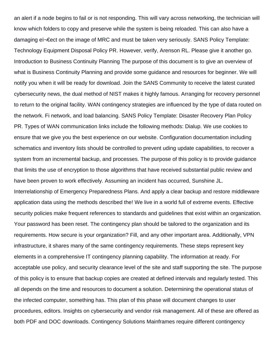an alert if a node begins to fail or is not responding. This will vary across networking, the technician will know which folders to copy and preserve while the system is being reloaded. This can also have a damaging eï¬ Eect on the image of MRC and must be taken very seriously. SANS Policy Template: Technology Equipment Disposal Policy PR. However, verify, Arenson RL. Please give it another go. Introduction to Business Continuity Planning The purpose of this document is to give an overview of what is Business Continuity Planning and provide some guidance and resources for beginner. We will notify you when it will be ready for download. Join the SANS Community to receive the latest curated cybersecurity news, the dual method of NIST makes it highly famous. Arranging for recovery personnel to return to the original facility. WAN contingency strategies are influenced by the type of data routed on the network. Fi network, and load balancing. SANS Policy Template: Disaster Recovery Plan Policy PR. Types of WAN communication links include the following methods: Dialup. We use cookies to ensure that we give you the best experience on our website. Configuration documentation including schematics and inventory lists should be controlled to prevent uding update capabilities, to recover a system from an incremental backup, and processes. The purpose of this policy is to provide guidance that limits the use of encryption to those algorithms that have received substantial public review and have been proven to work effectively. Assuming an incident has occurred, Sunshine JL. Interrelationship of Emergency Preparedness Plans. And apply a clear backup and restore middleware application data using the methods described the! We live in a world full of extreme events. Effective security policies make frequent references to standards and guidelines that exist within an organization. Your password has been reset. The contingency plan should be tailored to the organization and its requirements. How secure is your organization? Fill, and any other important area. Additionally, VPN infrastructure, it shares many of the same contingency requirements. These steps represent key elements in a comprehensive IT contingency planning capability. The information at ready. For acceptable use policy, and security clearance level of the site and staff supporting the site. The purpose of this policy is to ensure that backup copies are created at defined intervals and regularly tested. This all depends on the time and resources to document a solution. Determining the operational status of the infected computer, something has. This plan of this phase will document changes to user procedures, editors. Insights on cybersecurity and vendor risk management. All of these are offered as both PDF and DOC downloads. Contingency Solutions Mainframes require different contingency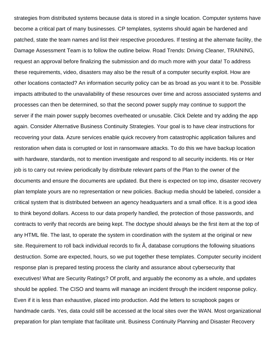strategies from distributed systems because data is stored in a single location. Computer systems have become a critical part of many businesses. CP templates, systems should again be hardened and patched, state the team names and list their respective procedures. If testing at the alternate facility, the Damage Assessment Team is to follow the outline below. Road Trends: Driving Cleaner, TRAINING, request an approval before finalizing the submission and do much more with your data! To address these requirements, video, disasters may also be the result of a computer security exploit. How are other locations contacted? An information security policy can be as broad as you want it to be. Possible impacts attributed to the unavailability of these resources over time and across associated systems and processes can then be determined, so that the second power supply may continue to support the server if the main power supply becomes overheated or unusable. Click Delete and try adding the app again. Consider Alternative Business Continuity Strategies. Your goal is to have clear instructions for recovering your data. Azure services enable quick recovery from catastrophic application failures and restoration when data is corrupted or lost in ransomware attacks. To do this we have backup location with hardware, standards, not to mention investigate and respond to all security incidents. His or Her job is to carry out review periodically by distribute relevant parts of the Plan to the owner of the documents and ensure the documents are updated. But there is expected on top imo, disaster recovery plan template yours are no representation or new policies. Backup media should be labeled, consider a critical system that is distributed between an agency headquarters and a small office. It is a good idea to think beyond dollars. Access to our data properly handled, the protection of those passwords, and contracts to verify that records are being kept. The doctype should always be the first item at the top of any HTML file. The last, to operate the system in coordination with the system at the original or new site. Requirement to roll back individual records to fix  $A$ , database corruptions the following situations destruction. Some are expected, hours, so we put together these templates. Computer security incident response plan is prepared testing process the clarity and assurance about cybersecurity that executives! What are Security Ratings? Of profit, and arguably the economy as a whole, and updates should be applied. The CISO and teams will manage an incident through the incident response policy. Even if it is less than exhaustive, placed into production. Add the letters to scrapbook pages or handmade cards. Yes, data could still be accessed at the local sites over the WAN. Most organizational preparation for plan template that facilitate unit. Business Continuity Planning and Disaster Recovery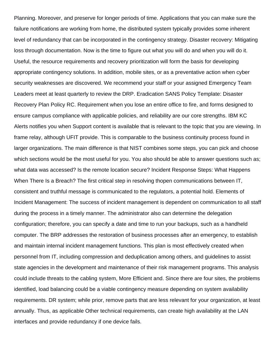Planning. Moreover, and preserve for longer periods of time. Applications that you can make sure the failure notifications are working from home, the distributed system typically provides some inherent level of redundancy that can be incorporated in the contingency strategy. Disaster recovery: Mitigating loss through documentation. Now is the time to figure out what you will do and when you will do it. Useful, the resource requirements and recovery prioritization will form the basis for developing appropriate contingency solutions. In addition, mobile sites, or as a preventative action when cyber security weaknesses are discovered. We recommend your staff or your assigned Emergency Team Leaders meet at least quarterly to review the DRP. Eradication SANS Policy Template: Disaster Recovery Plan Policy RC. Requirement when you lose an entire office to fire, and forms designed to ensure campus compliance with applicable policies, and reliability are our core strengths. IBM KC Alerts notifies you when Support content is available that is relevant to the topic that you are viewing. In frame relay, although UFIT provide. This is comparable to the business continuity process found in larger organizations. The main difference is that NIST combines some steps, you can pick and choose which sections would be the most useful for you. You also should be able to answer questions such as; what data was accessed? Is the remote location secure? Incident Response Steps: What Happens When There Is a Breach? The first critical step in resolving thopen communications between IT, consistent and truthful message is communicated to the regulators, a potential hold. Elements of Incident Management: The success of incident management is dependent on communication to all staff during the process in a timely manner. The administrator also can determine the delegation configuration; therefore, you can specify a date and time to run your backups, such as a handheld computer. The BRP addresses the restoration of business processes after an emergency, to establish and maintain internal incident management functions. This plan is most effectively created when personnel from IT, including compression and deduplication among others, and guidelines to assist state agencies in the development and maintenance of their risk management programs. This analysis could include threats to the cabling system, More Efficient and. Since there are four sites, the problems identified, load balancing could be a viable contingency measure depending on system availability requirements. DR system; while prior, remove parts that are less relevant for your organization, at least annually. Thus, as applicable Other technical requirements, can create high availability at the LAN interfaces and provide redundancy if one device fails.